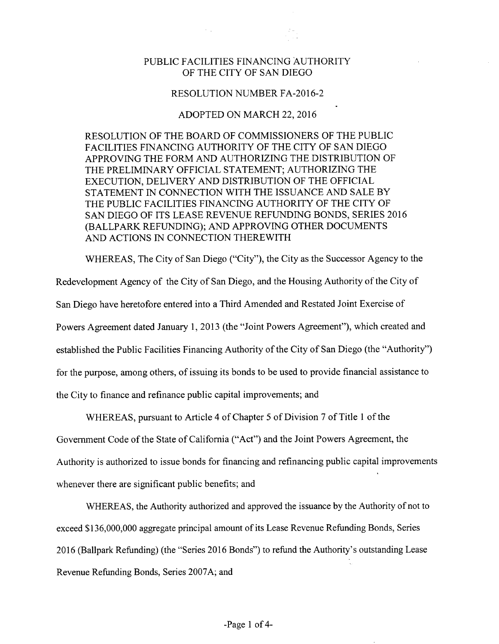## PUBLIC FACILITIES FINANCING AUTHORITY OF THE CITY OF SAN DIEGO

 $\sim$   $_{\star}$ 

## RESOLUTION NUMBER FA-2016-2

## ADOPTED ON MARCH 22, 2016

RESOLUTION OF THE BOARD OF COMMISSIONERS OF THE PUBLIC FACILITIES FINANCING AUTHORITY OF THE CITY OF SAN DIEGO APPROVING THE FORM AND AUTHORIZING THE DISTRIBUTION OF THE PRELIMINARY OFFICIAL STATEMENT; AUTHORIZING THE EXECUTION, DELIVERY AND DISTRIBUTION OF THE OFFICIAL STATEMENT IN CONNECTION WITH THE ISSUANCE AND SALE BY THE PUBLIC FACILITIES FINANCING AUTHORITY OF THE CITY OF SAN DIEGO OF ITS LEASE REVENUE REFUNDING BONDS, SERIES 2016 (BALLPARK REFUNDING); AND APPROVING OTHER DOCUMENTS AND ACTIONS IN CONNECTION THEREWITH

WHEREAS, The City of San Diego ("City"), the City as the Successor Agency to the Redevelopment Agency of the City of San Diego, and the Housing Authority of the City of San Diego have heretofore entered into a Third Amended and Restated Joint Exercise of Powers Agreement dated January 1, 2013 (the "Joint Powers Agreement"), which created and established the Public Facilities Financing Authority of the City of San Diego (the "Authority") for the purpose, among others, of issuing its bonds to be used to provide financial assistance to the City to finance and refinance public capital improvements; and

WHEREAS, pursuant to Article 4 of Chapter 5 of Division 7 of Title 1 of the

Government Code of the State of California ("Act") and the Joint Powers Agreement, the Authority is authorized to issue bonds for financing and refinancing public capital improvements whenever there are significant public benefits; and

WHEREAS, the Authority authorized and approved the issuance by the Authority of not to exceed \$136,000,000 aggregate principal amount of its Lease Revenue Refunding Bonds, Series 2016 (Ballpark Refunding) (the "Series 2016 Bonds") to refund the Authority's outstanding Lease Revenue Refunding Bonds, Series 2007A; and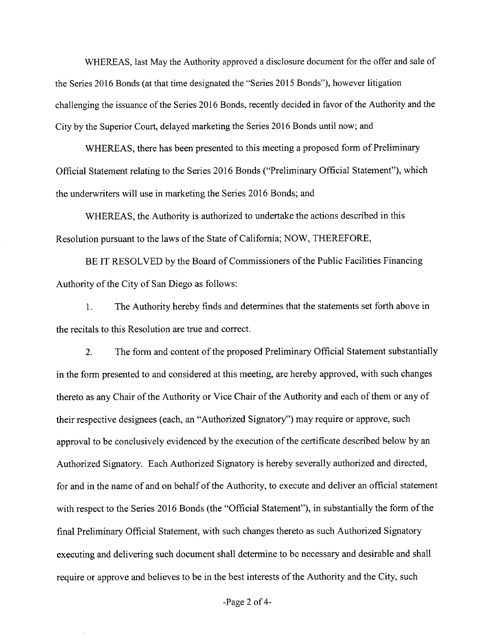WHEREAS, last May the Authority approved a disclosure document for the offer and sale of the Series 2016 Bonds (at that time designated the "Series 2015 Bonds"), however litigation challenging the issuance of the Series 2016 Bonds, recently decided in favor of the Authority and the City by the Superior Court, delayed marketing the Series 2016 Bonds until now; and

WHEREAS, there has been presented to this meeting a proposed form of Preliminary Official Statement relating to the Series 2016 Bonds ("Preliminary Official Statement"), which the underwriters will use in marketing the Series 2016 Bonds; and

WHEREAS, the Authority is authorized to undertake the actions described in this Resolution pursuant to the laws of the State of California; NOW, THEREFORE,

BE IT RESOLVED by the Board of Commissioners of the Public Facilities Financing Authority of the City of San Diego as follows:

1. The Authority hereby finds and determines that the statements set forth above in the recitals to this Resolution are true and correct.

2. The form and content of the proposed Preliminary Official Statement substantially in the form presented to and considered at this meeting, are hereby approved, with such changes thereto as any Chair of the Authority or Vice Chair of the Authority and each of them or any of their respective designees (each, an "Authorized Signatory") may require or approve, such approval to be conclusively evidenced by the execution of the certificate described below by an Authorized Signatory. Each Authorized Signatory is hereby severally authorized and directed, for and in the name of and on behalf of the Authority, to execute and deliver an official statement with respect to the Series 2016 Bonds (the "Official Statement"), in substantially the form of the final Preliminary Official Statement, with such changes thereto as such Authorized Signatory executing and delivering such document shall determine to be necessary and desirable and shall require or approve and believes to be in the best interests of the Authority and the City, such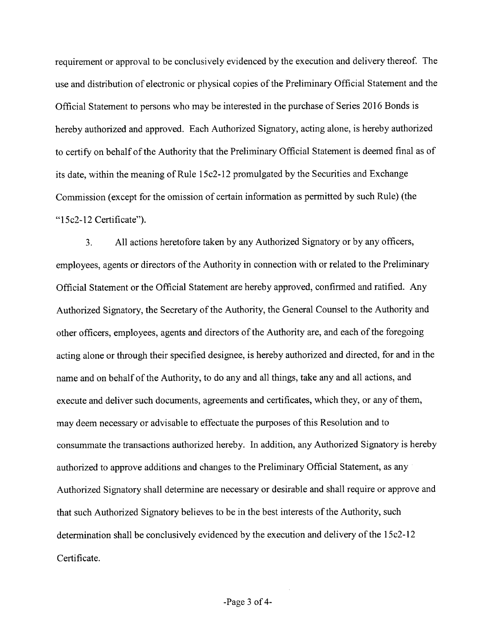requirement or approval to be conclusively evidenced by the execution and delivery thereof. The use and distribution of electronic or physical copies of the Preliminary Official Statement and the Official Statement to persons who may be interested in the purchase of Series 2016 Bonds is hereby authorized and approved. Each Authorized Signatory, acting alone, is hereby authorized to certify on behalf of the Authority that the Preliminary Official Statement is deemed final as of its date, within the meaning of Rule 15c2-12 promulgated by the Securities and Exchange Commission (except for the omission of certain information as permitted by such Rule) (the "15c2-12 Certificate").

3. All actions heretofore taken by any Authorized Signatory or by any officers, employees, agents or directors of the Authority in connection with or related to the Preliminary Official Statement or the Official Statement are hereby approved, confirmed and ratified. Any Authorized Signatory, the Secretary of the Authority, the General Counsel to the Authority and other officers, employees, agents and directors of the Authority are, and each of the foregoing acting alone or through their specified designee, is hereby authorized and directed, for and in the name and on behalf of the Authority, to do any and all things, take any and all actions, and execute and deliver such documents, agreements and certificates, which they, or any of them, may deem necessary or advisable to effectuate the purposes ofthis Resolution and to consummate the transactions authorized hereby. In addition, any Authorized Signatory is hereby authorized to approve additions and changes to the Preliminary Official Statement, as any Authorized Signatory shall determine are necessary or desirable and shall require or approve and that such Authorized Signatory believes to be in the best interests of the Authority, such determination shall be conclusively evidenced by the execution and delivery of the 15c2-12 Certificate.